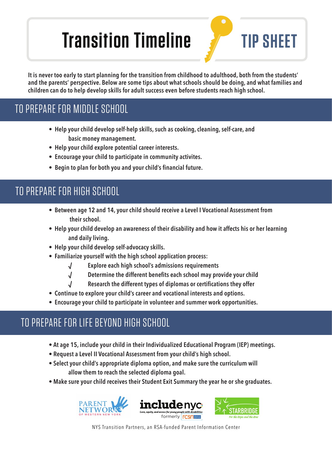# **Transition Timeline For TIP SHEET**

**It is never too early to start planning for the transition from childhood to adulthood, both from the students' and the parents' perspective. Below are some tips about what schools should be doing, and what families and children can do to help develop skills for adult success even before students reach high school.** 

## TO PREPARE FOR MIDDLE SCHOOL

- **Help your child develop self-help skills, such as cooking, cleaning, self-care, and basic money management.**
- **Help your child explore potential career interests.**
- **Encourage your child to participate in community activites.**
- Begin to plan for both you and your child's financial future.

#### TO PREPARE FOR HIGH SCHOOL

- **Between age 12 and 14, your child should receive a Level I Vocational Assessment from their school.**
- **Help your child develop an awareness of their disability and how it affects his or her learning and daily living.**
- **Help your child develop self-advocacy skills.**
- **Familiarize yourself with the high school application process:** 
	- **√ Explore each high school's admissions requirements**
	- **√ Determine the different benefi ts each school may provide your child**
	- **Research the different types of diplomas or certifications they offer**
- **Continue to explore your child's career and vocational interests and options.**
- **Encourage your child to participate in volunteer and summer work opportunities.**

#### TO PREPARE FOR LIFE BEYOND HIGH SCHOOL

- **At age 15, include your child in their Individualized Educational Program (IEP) meetings.**
- **Request a Level II Vocational Assessment from your child's high school.**
- **Select your child's appropriate diploma option, and make sure the curriculum will allow them to reach the selected diploma goal.**
- **Make sure your child receives their Student Exit Summary the year he or she graduates.**







NYS Transition Partners, an RSA-funded Parent Information Center